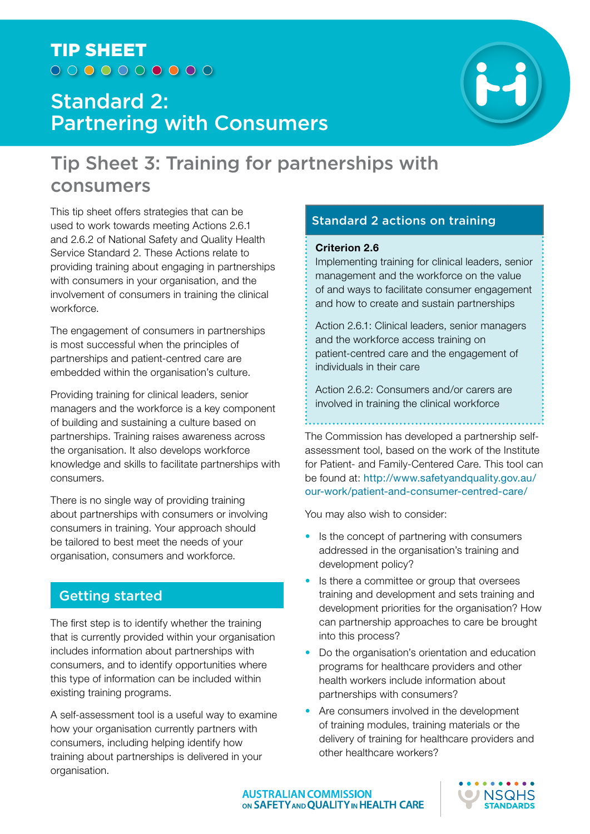# TIP SHEET  $00000000000$

# Standard 2: Partnering with Consumers



# Tip Sheet 3: Training for partnerships with consumers

This tip sheet offers strategies that can be used to work towards meeting Actions 2.6.1 and 2.6.2 of National Safety and Quality Health Service Standard 2. These Actions relate to providing training about engaging in partnerships with consumers in your organisation, and the involvement of consumers in training the clinical workforce.

The engagement of consumers in partnerships is most successful when the principles of partnerships and patient-centred care are embedded within the organisation's culture.

Providing training for clinical leaders, senior managers and the workforce is a key component of building and sustaining a culture based on partnerships. Training raises awareness across the organisation. It also develops workforce knowledge and skills to facilitate partnerships with consumers.

There is no single way of providing training about partnerships with consumers or involving consumers in training. Your approach should be tailored to best meet the needs of your organisation, consumers and workforce.

# Getting started

The first step is to identify whether the training that is currently provided within your organisation includes information about partnerships with consumers, and to identify opportunities where this type of information can be included within existing training programs.

A self-assessment tool is a useful way to examine how your organisation currently partners with consumers, including helping identify how training about partnerships is delivered in your organisation.

# Standard 2 actions on training

#### **Criterion 2.6**

Implementing training for clinical leaders, senior management and the workforce on the value of and ways to facilitate consumer engagement and how to create and sustain partnerships

Action 2.6.1: Clinical leaders, senior managers and the workforce access training on patient-centred care and the engagement of individuals in their care

Action 2.6.2: Consumers and/or carers are involved in training the clinical workforce

The Commission has developed a partnership selfassessment tool, based on the work of the Institute for Patient- and Family-Centered Care. This tool can be found at: http://www.safetyandquality.gov.au/ our-work/patient-and-consumer-centred-care/

You may also wish to consider:

- Is the concept of partnering with consumers addressed in the organisation's training and development policy?
- Is there a committee or group that oversees training and development and sets training and development priorities for the organisation? How can partnership approaches to care be brought into this process?
- Do the organisation's orientation and education programs for healthcare providers and other health workers include information about partnerships with consumers?
- Are consumers involved in the development of training modules, training materials or the delivery of training for healthcare providers and other healthcare workers?

**AUSTRALIAN COMMISSION** ON SAFETY AND QUALITY IN HEALTH CARE

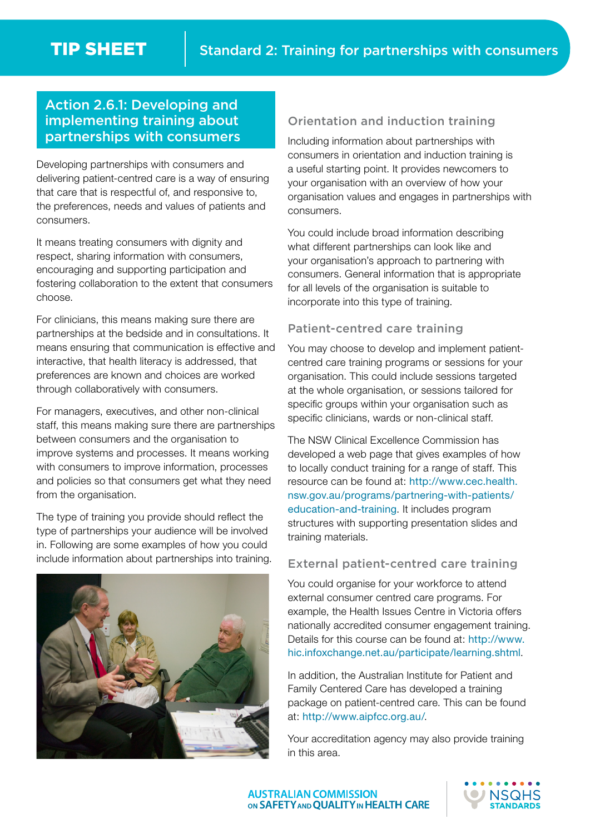# Action 2.6.1: Developing and implementing training about partnerships with consumers

Developing partnerships with consumers and delivering patient-centred care is a way of ensuring that care that is respectful of, and responsive to, the preferences, needs and values of patients and consumers.

It means treating consumers with dignity and respect, sharing information with consumers, encouraging and supporting participation and fostering collaboration to the extent that consumers choose.

For clinicians, this means making sure there are partnerships at the bedside and in consultations. It means ensuring that communication is effective and interactive, that health literacy is addressed, that preferences are known and choices are worked through collaboratively with consumers.

For managers, executives, and other non-clinical staff, this means making sure there are partnerships between consumers and the organisation to improve systems and processes. It means working with consumers to improve information, processes and policies so that consumers get what they need from the organisation.

The type of training you provide should reflect the type of partnerships your audience will be involved in. Following are some examples of how you could include information about partnerships into training.



## Orientation and induction training

Including information about partnerships with consumers in orientation and induction training is a useful starting point. It provides newcomers to your organisation with an overview of how your organisation values and engages in partnerships with consumers.

You could include broad information describing what different partnerships can look like and your organisation's approach to partnering with consumers. General information that is appropriate for all levels of the organisation is suitable to incorporate into this type of training.

## Patient-centred care training

You may choose to develop and implement patientcentred care training programs or sessions for your organisation. This could include sessions targeted at the whole organisation, or sessions tailored for specific groups within your organisation such as specific clinicians, wards or non-clinical staff.

The NSW Clinical Excellence Commission has developed a web page that gives examples of how to locally conduct training for a range of staff. This resource can be found at: http://www.cec.health. nsw.gov.au/programs/partnering-with-patients/ education-and-training. It includes program structures with supporting presentation slides and training materials.

#### External patient-centred care training

You could organise for your workforce to attend external consumer centred care programs. For example, the Health Issues Centre in Victoria offers nationally accredited consumer engagement training. Details for this course can be found at: http://www. hic.infoxchange.net.au/participate/learning.shtml.

In addition, the Australian Institute for Patient and Family Centered Care has developed a training package on patient-centred care. This can be found at: http://www.aipfcc.org.au/.

Your accreditation agency may also provide training in this area.

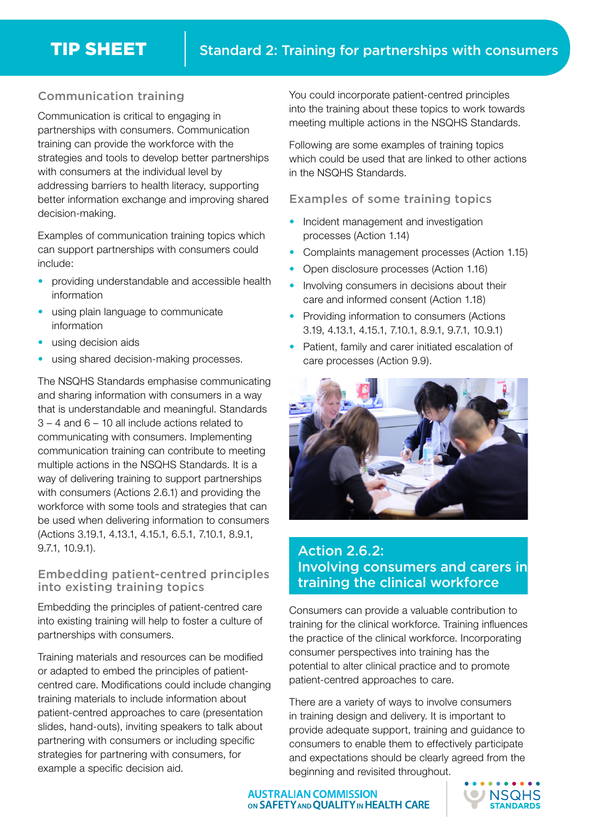# Communication training

Communication is critical to engaging in partnerships with consumers. Communication training can provide the workforce with the strategies and tools to develop better partnerships with consumers at the individual level by addressing barriers to health literacy, supporting better information exchange and improving shared decision-making.

Examples of communication training topics which can support partnerships with consumers could include:

- providing understandable and accessible health information
- using plain language to communicate information
- using decision aids
- using shared decision-making processes.

The NSQHS Standards emphasise communicating and sharing information with consumers in a way that is understandable and meaningful. Standards 3 – 4 and 6 – 10 all include actions related to communicating with consumers. Implementing communication training can contribute to meeting multiple actions in the NSQHS Standards. It is a way of delivering training to support partnerships with consumers (Actions 2.6.1) and providing the workforce with some tools and strategies that can be used when delivering information to consumers (Actions 3.19.1, 4.13.1, 4.15.1, 6.5.1, 7.10.1, 8.9.1, 9.7.1, 10.9.1).

## Embedding patient-centred principles into existing training topics

Embedding the principles of patient-centred care into existing training will help to foster a culture of partnerships with consumers.

Training materials and resources can be modified or adapted to embed the principles of patientcentred care. Modifications could include changing training materials to include information about patient-centred approaches to care (presentation slides, hand-outs), inviting speakers to talk about partnering with consumers or including specific strategies for partnering with consumers, for example a specific decision aid.

You could incorporate patient-centred principles into the training about these topics to work towards meeting multiple actions in the NSQHS Standards.

Following are some examples of training topics which could be used that are linked to other actions in the NSQHS Standards.

#### Examples of some training topics

- Incident management and investigation processes (Action 1.14)
- Complaints management processes (Action 1.15)
- Open disclosure processes (Action 1.16)
- Involving consumers in decisions about their care and informed consent (Action 1.18)
- Providing information to consumers (Actions 3.19, 4.13.1, 4.15.1, 7.10.1, 8.9.1, 9.7.1, 10.9.1)
- Patient, family and carer initiated escalation of care processes (Action 9.9).



# Action 2.6.2: Involving consumers and carers in training the clinical workforce

Consumers can provide a valuable contribution to training for the clinical workforce. Training influences the practice of the clinical workforce. Incorporating consumer perspectives into training has the potential to alter clinical practice and to promote patient-centred approaches to care.

There are a variety of ways to involve consumers in training design and delivery. It is important to provide adequate support, training and guidance to consumers to enable them to effectively participate and expectations should be clearly agreed from the beginning and revisited throughout.

**AUSTRALIAN COMMISSION** ON SAFETY AND QUALITY IN HEALTH CARE